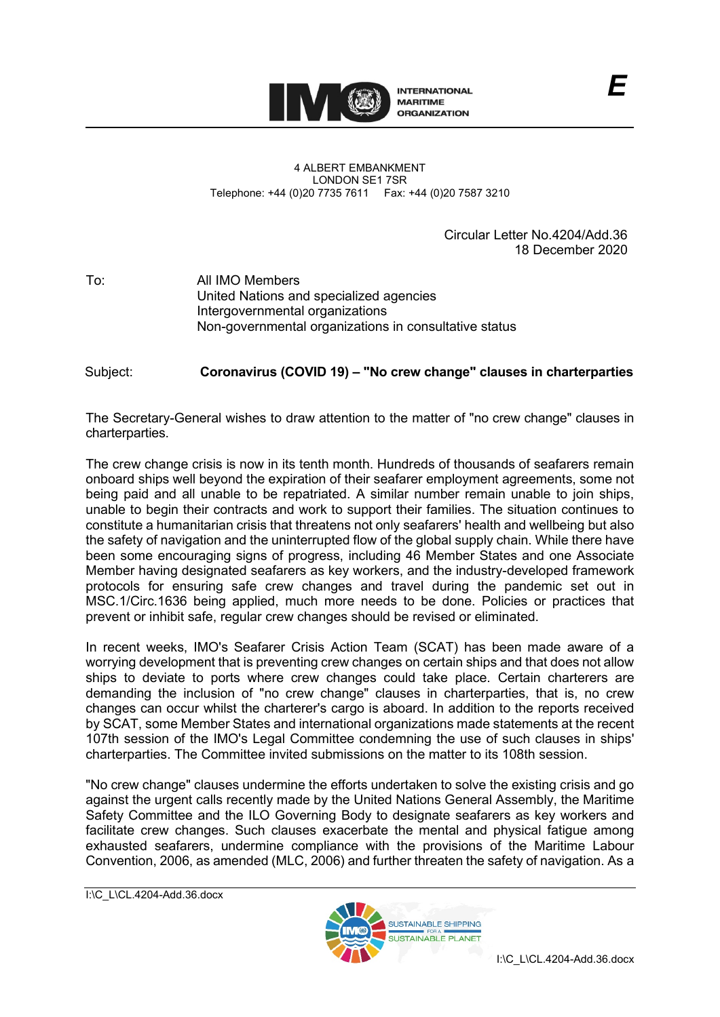

## 4 ALBERT EMBANKMENT LONDON SE1 7SR Telephone: +44 (0)20 7735 7611 Fax: +44 (0)20 7587 3210

Circular Letter No.4204/Add.36 18 December 2020

To: All IMO Members United Nations and specialized agencies Intergovernmental organizations Non-governmental organizations in consultative status

Subject: **Coronavirus (COVID 19) – "No crew change" clauses in charterparties** 

The Secretary-General wishes to draw attention to the matter of "no crew change" clauses in charterparties.

The crew change crisis is now in its tenth month. Hundreds of thousands of seafarers remain onboard ships well beyond the expiration of their seafarer employment agreements, some not being paid and all unable to be repatriated. A similar number remain unable to join ships, unable to begin their contracts and work to support their families. The situation continues to constitute a humanitarian crisis that threatens not only seafarersʹ health and wellbeing but also the safety of navigation and the uninterrupted flow of the global supply chain. While there have been some encouraging signs of progress, including 46 Member States and one Associate Member having designated seafarers as key workers, and the industry-developed framework protocols for ensuring safe crew changes and travel during the pandemic set out in MSC.1/Circ.1636 being applied, much more needs to be done. Policies or practices that prevent or inhibit safe, regular crew changes should be revised or eliminated.

In recent weeks, IMOʹs Seafarer Crisis Action Team (SCAT) has been made aware of a worrying development that is preventing crew changes on certain ships and that does not allow ships to deviate to ports where crew changes could take place. Certain charterers are demanding the inclusion of "no crew change" clauses in charterparties, that is, no crew changes can occur whilst the chartererʹs cargo is aboard. In addition to the reports received by SCAT, some Member States and international organizations made statements at the recent 107th session of the IMOʹs Legal Committee condemning the use of such clauses in shipsʹ charterparties. The Committee invited submissions on the matter to its 108th session.

"No crew change" clauses undermine the efforts undertaken to solve the existing crisis and go against the urgent calls recently made by the United Nations General Assembly, the Maritime Safety Committee and the ILO Governing Body to designate seafarers as key workers and facilitate crew changes. Such clauses exacerbate the mental and physical fatigue among exhausted seafarers, undermine compliance with the provisions of the Maritime Labour Convention, 2006, as amended (MLC, 2006) and further threaten the safety of navigation. As a